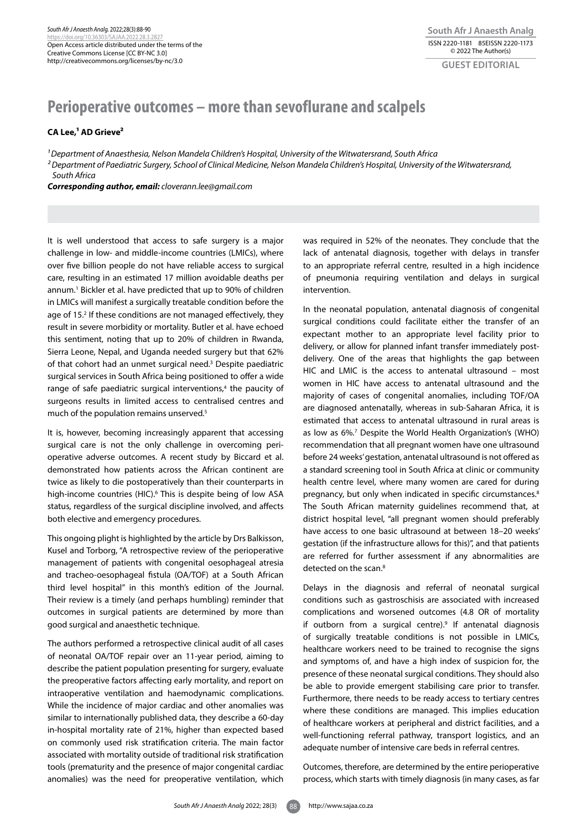## **Perioperative outcomes – more than sevoflurane and scalpels**

**CA Lee,1 AD Grieve2**

*1 Department of Anaesthesia, Nelson Mandela Children's Hospital, University of the Witwatersrand, South Africa 2 Department of Paediatric Surgery, School of Clinical Medicine, Nelson Mandela Children's Hospital, University of the Witwatersrand, South Africa*

*Corresponding author, email: cloverann.lee@gmail.com*

It is well understood that access to safe surgery is a major challenge in low- and middle-income countries (LMICs), where over five billion people do not have reliable access to surgical care, resulting in an estimated 17 million avoidable deaths per annum.1 Bickler et al. have predicted that up to 90% of children in LMICs will manifest a surgically treatable condition before the age of 15.<sup>2</sup> If these conditions are not managed effectively, they result in severe morbidity or mortality. Butler et al. have echoed this sentiment, noting that up to 20% of children in Rwanda, Sierra Leone, Nepal, and Uganda needed surgery but that 62% of that cohort had an unmet surgical need.3 Despite paediatric surgical services in South Africa being positioned to offer a wide range of safe paediatric surgical interventions,<sup>4</sup> the paucity of surgeons results in limited access to centralised centres and much of the population remains unserved.5

It is, however, becoming increasingly apparent that accessing surgical care is not the only challenge in overcoming perioperative adverse outcomes. A recent study by Biccard et al. demonstrated how patients across the African continent are twice as likely to die postoperatively than their counterparts in high-income countries (HIC).<sup>6</sup> This is despite being of low ASA status, regardless of the surgical discipline involved, and affects both elective and emergency procedures.

This ongoing plight is highlighted by the article by Drs Balkisson, Kusel and Torborg, "A retrospective review of the perioperative management of patients with congenital oesophageal atresia and tracheo-oesophageal fistula (OA/TOF) at a South African third level hospital" in this month's edition of the Journal. Their review is a timely (and perhaps humbling) reminder that outcomes in surgical patients are determined by more than good surgical and anaesthetic technique.

The authors performed a retrospective clinical audit of all cases of neonatal OA/TOF repair over an 11-year period, aiming to describe the patient population presenting for surgery, evaluate the preoperative factors affecting early mortality, and report on intraoperative ventilation and haemodynamic complications. While the incidence of major cardiac and other anomalies was similar to internationally published data, they describe a 60-day in-hospital mortality rate of 21%, higher than expected based on commonly used risk stratification criteria. The main factor associated with mortality outside of traditional risk stratification tools (prematurity and the presence of major congenital cardiac anomalies) was the need for preoperative ventilation, which

was required in 52% of the neonates. They conclude that the lack of antenatal diagnosis, together with delays in transfer to an appropriate referral centre, resulted in a high incidence of pneumonia requiring ventilation and delays in surgical intervention.

In the neonatal population, antenatal diagnosis of congenital surgical conditions could facilitate either the transfer of an expectant mother to an appropriate level facility prior to delivery, or allow for planned infant transfer immediately postdelivery. One of the areas that highlights the gap between HIC and LMIC is the access to antenatal ultrasound – most women in HIC have access to antenatal ultrasound and the majority of cases of congenital anomalies, including TOF/OA are diagnosed antenatally, whereas in sub-Saharan Africa, it is estimated that access to antenatal ultrasound in rural areas is as low as 6%.7 Despite the World Health Organization's (WHO) recommendation that all pregnant women have one ultrasound before 24 weeks' gestation, antenatal ultrasound is not offered as a standard screening tool in South Africa at clinic or community health centre level, where many women are cared for during pregnancy, but only when indicated in specific circumstances.<sup>8</sup> The South African maternity guidelines recommend that, at district hospital level, "all pregnant women should preferably have access to one basic ultrasound at between 18–20 weeks' gestation (if the infrastructure allows for this)", and that patients are referred for further assessment if any abnormalities are detected on the scan.<sup>8</sup>

Delays in the diagnosis and referral of neonatal surgical conditions such as gastroschisis are associated with increased complications and worsened outcomes (4.8 OR of mortality if outborn from a surgical centre).<sup>9</sup> If antenatal diagnosis of surgically treatable conditions is not possible in LMICs, healthcare workers need to be trained to recognise the signs and symptoms of, and have a high index of suspicion for, the presence of these neonatal surgical conditions. They should also be able to provide emergent stabilising care prior to transfer. Furthermore, there needs to be ready access to tertiary centres where these conditions are managed. This implies education of healthcare workers at peripheral and district facilities, and a well-functioning referral pathway, transport logistics, and an adequate number of intensive care beds in referral centres.

Outcomes, therefore, are determined by the entire perioperative process, which starts with timely diagnosis (in many cases, as far